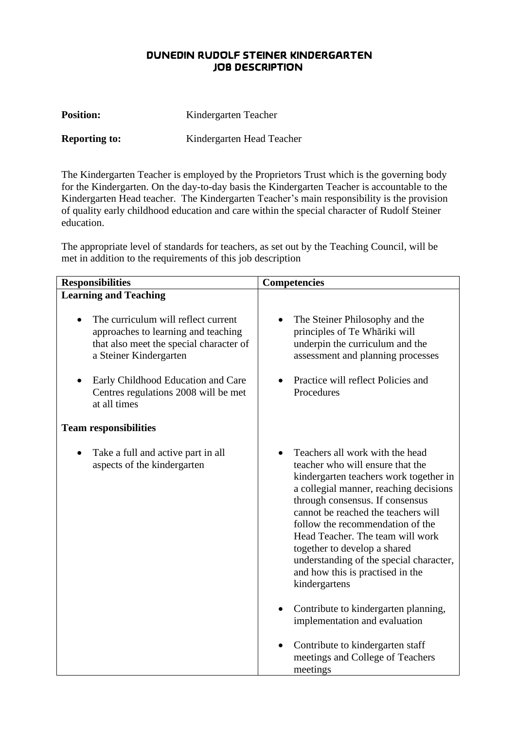## **DUNEDIN RUDOLF STEINER KINDERGARTEN JOB DESCRIPTION**

| <b>Position:</b>     | Kindergarten Teacher      |
|----------------------|---------------------------|
| <b>Reporting to:</b> | Kindergarten Head Teacher |

The Kindergarten Teacher is employed by the Proprietors Trust which is the governing body for the Kindergarten. On the day-to-day basis the Kindergarten Teacher is accountable to the Kindergarten Head teacher. The Kindergarten Teacher's main responsibility is the provision of quality early childhood education and care within the special character of Rudolf Steiner education.

The appropriate level of standards for teachers, as set out by the Teaching Council, will be met in addition to the requirements of this job description

| <b>Responsibilities</b>                                                                                                                         | <b>Competencies</b>                                                                                                                                                                                                                                                                                                                                                                                                                       |
|-------------------------------------------------------------------------------------------------------------------------------------------------|-------------------------------------------------------------------------------------------------------------------------------------------------------------------------------------------------------------------------------------------------------------------------------------------------------------------------------------------------------------------------------------------------------------------------------------------|
| <b>Learning and Teaching</b>                                                                                                                    |                                                                                                                                                                                                                                                                                                                                                                                                                                           |
| The curriculum will reflect current<br>approaches to learning and teaching<br>that also meet the special character of<br>a Steiner Kindergarten | The Steiner Philosophy and the<br>principles of Te Whāriki will<br>underpin the curriculum and the<br>assessment and planning processes                                                                                                                                                                                                                                                                                                   |
| Early Childhood Education and Care<br>Centres regulations 2008 will be met<br>at all times                                                      | Practice will reflect Policies and<br>Procedures                                                                                                                                                                                                                                                                                                                                                                                          |
| <b>Team responsibilities</b>                                                                                                                    |                                                                                                                                                                                                                                                                                                                                                                                                                                           |
| Take a full and active part in all<br>aspects of the kindergarten                                                                               | Teachers all work with the head<br>teacher who will ensure that the<br>kindergarten teachers work together in<br>a collegial manner, reaching decisions<br>through consensus. If consensus<br>cannot be reached the teachers will<br>follow the recommendation of the<br>Head Teacher. The team will work<br>together to develop a shared<br>understanding of the special character,<br>and how this is practised in the<br>kindergartens |
|                                                                                                                                                 | Contribute to kindergarten planning,<br>implementation and evaluation                                                                                                                                                                                                                                                                                                                                                                     |
|                                                                                                                                                 | Contribute to kindergarten staff<br>$\bullet$<br>meetings and College of Teachers<br>meetings                                                                                                                                                                                                                                                                                                                                             |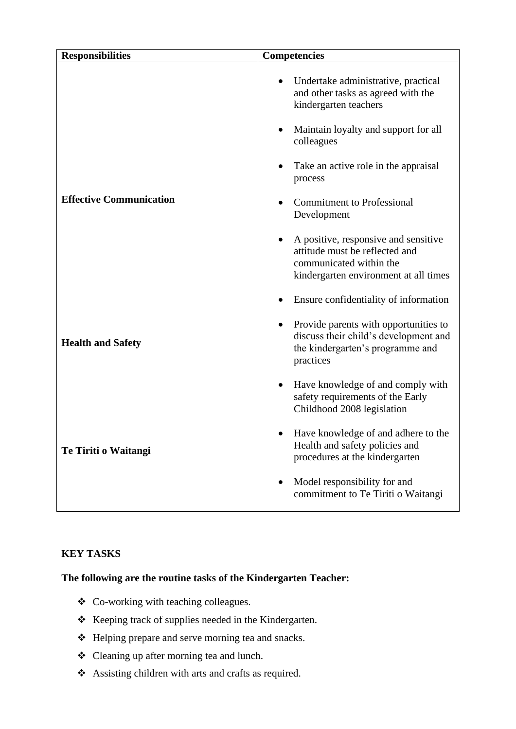| <b>Responsibilities</b>        | <b>Competencies</b>                                                                                                                          |
|--------------------------------|----------------------------------------------------------------------------------------------------------------------------------------------|
|                                | Undertake administrative, practical<br>and other tasks as agreed with the<br>kindergarten teachers                                           |
|                                | Maintain loyalty and support for all<br>colleagues                                                                                           |
|                                | Take an active role in the appraisal<br>process                                                                                              |
| <b>Effective Communication</b> | <b>Commitment to Professional</b><br>Development                                                                                             |
|                                | A positive, responsive and sensitive<br>attitude must be reflected and<br>communicated within the<br>kindergarten environment at all times   |
|                                | Ensure confidentiality of information                                                                                                        |
| <b>Health and Safety</b>       | Provide parents with opportunities to<br>$\bullet$<br>discuss their child's development and<br>the kindergarten's programme and<br>practices |
|                                | Have knowledge of and comply with<br>safety requirements of the Early<br>Childhood 2008 legislation                                          |
| Te Tiriti o Waitangi           | Have knowledge of and adhere to the<br>Health and safety policies and<br>procedures at the kindergarten                                      |
|                                | Model responsibility for and<br>commitment to Te Tiriti o Waitangi                                                                           |

## **KEY TASKS**

## **The following are the routine tasks of the Kindergarten Teacher:**

- ❖ Co-working with teaching colleagues.
- ❖ Keeping track of supplies needed in the Kindergarten.
- ❖ Helping prepare and serve morning tea and snacks.
- ❖ Cleaning up after morning tea and lunch.
- ❖ Assisting children with arts and crafts as required.